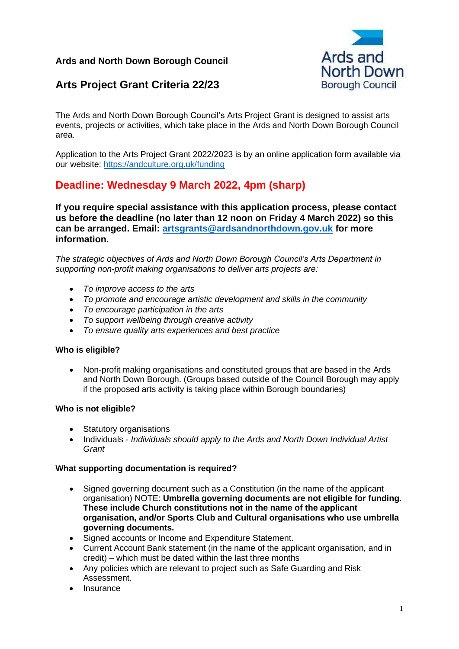## **Ards and North Down Borough Council**



# **Arts Project Grant Criteria 22/23**

The Ards and North Down Borough Council's Arts Project Grant is designed to assist arts events, projects or activities, which take place in the Ards and North Down Borough Council area.

Application to the Arts Project Grant 2022/2023 is by an online application form available via our website: <https://andculture.org.uk/funding>

# **Deadline: Wednesday 9 March 2022, 4pm (sharp)**

**If you require special assistance with this application process, please contact us before the deadline (no later than 12 noon on Friday 4 March 2022) so this can be arranged. Email: [artsgrants@ardsandnorthdown.gov.uk](mailto:artsgrants@ardsandnorthdown.gov.uk) for more information.**

*The strategic objectives of Ards and North Down Borough Council's Arts Department in supporting non-profit making organisations to deliver arts projects are:*

- *To improve access to the arts*
- *To promote and encourage artistic development and skills in the community*
- *To encourage participation in the arts*
- *To support wellbeing through creative activity*
- *To ensure quality arts experiences and best practice*

#### **Who is eligible?**

• Non-profit making organisations and constituted groups that are based in the Ards and North Down Borough. (Groups based outside of the Council Borough may apply if the proposed arts activity is taking place within Borough boundaries)

#### **Who is not eligible?**

- Statutory organisations
- Individuals *Individuals should apply to the Ards and North Down Individual Artist Grant*

#### **What supporting documentation is required?**

- Signed governing document such as a Constitution (in the name of the applicant organisation) NOTE: **Umbrella governing documents are not eligible for funding. These include Church constitutions not in the name of the applicant organisation, and/or Sports Club and Cultural organisations who use umbrella governing documents.**
- Signed accounts or Income and Expenditure Statement.
- Current Account Bank statement (in the name of the applicant organisation, and in credit) – which must be dated within the last three months
- Any policies which are relevant to project such as Safe Guarding and Risk Assessment.
- **Insurance**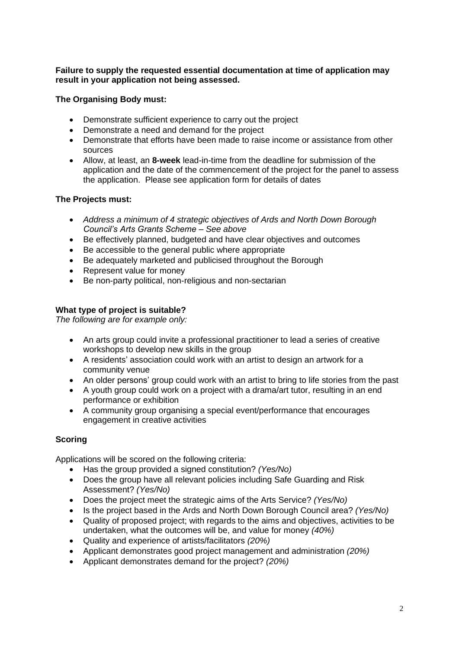#### **Failure to supply the requested essential documentation at time of application may result in your application not being assessed.**

## **The Organising Body must:**

- Demonstrate sufficient experience to carry out the project
- Demonstrate a need and demand for the project
- Demonstrate that efforts have been made to raise income or assistance from other sources
- Allow, at least, an **8-week** lead-in-time from the deadline for submission of the application and the date of the commencement of the project for the panel to assess the application. Please see application form for details of dates

## **The Projects must:**

- *Address a minimum of 4 strategic objectives of Ards and North Down Borough Council's Arts Grants Scheme – See above*
- Be effectively planned, budgeted and have clear objectives and outcomes
- Be accessible to the general public where appropriate
- Be adequately marketed and publicised throughout the Borough
- Represent value for money
- Be non-party political, non-religious and non-sectarian

## **What type of project is suitable?**

*The following are for example only:*

- An arts group could invite a professional practitioner to lead a series of creative workshops to develop new skills in the group
- A residents' association could work with an artist to design an artwork for a community venue
- An older persons' group could work with an artist to bring to life stories from the past
- A youth group could work on a project with a drama/art tutor, resulting in an end performance or exhibition
- A community group organising a special event/performance that encourages engagement in creative activities

## **Scoring**

Applications will be scored on the following criteria:

- Has the group provided a signed constitution? *(Yes/No)*
- Does the group have all relevant policies including Safe Guarding and Risk Assessment? *(Yes/No)*
- Does the project meet the strategic aims of the Arts Service? *(Yes/No)*
- Is the project based in the Ards and North Down Borough Council area? *(Yes/No)*
- Quality of proposed project; with regards to the aims and objectives, activities to be undertaken, what the outcomes will be, and value for money *(40%)*
- Quality and experience of artists/facilitators *(20%)*
- Applicant demonstrates good project management and administration *(20%)*
- Applicant demonstrates demand for the project? *(20%)*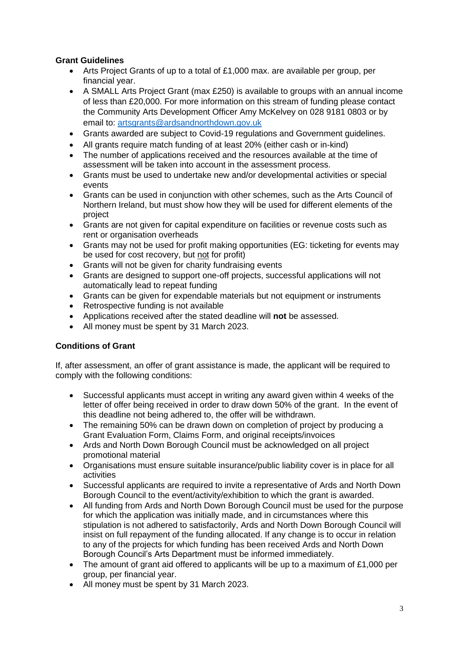## **Grant Guidelines**

- Arts Project Grants of up to a total of £1,000 max. are available per group, per financial year.
- A SMALL Arts Project Grant (max £250) is available to groups with an annual income of less than £20,000. For more information on this stream of funding please contact the Community Arts Development Officer Amy McKelvey on 028 9181 0803 or by email to: [artsgrants@ardsandnorthdown.gov.uk](mailto:artsgrants@ardsandnorthdown.gov.uk)
- Grants awarded are subject to Covid-19 regulations and Government guidelines.
- All grants require match funding of at least 20% (either cash or in-kind)
- The number of applications received and the resources available at the time of assessment will be taken into account in the assessment process.
- Grants must be used to undertake new and/or developmental activities or special events
- Grants can be used in conjunction with other schemes, such as the Arts Council of Northern Ireland, but must show how they will be used for different elements of the project
- Grants are not given for capital expenditure on facilities or revenue costs such as rent or organisation overheads
- Grants may not be used for profit making opportunities (EG: ticketing for events may be used for cost recovery, but not for profit)
- Grants will not be given for charity fundraising events
- Grants are designed to support one-off projects, successful applications will not automatically lead to repeat funding
- Grants can be given for expendable materials but not equipment or instruments
- Retrospective funding is not available
- Applications received after the stated deadline will **not** be assessed.
- All money must be spent by 31 March 2023.

#### **Conditions of Grant**

If, after assessment, an offer of grant assistance is made, the applicant will be required to comply with the following conditions:

- Successful applicants must accept in writing any award given within 4 weeks of the letter of offer being received in order to draw down 50% of the grant. In the event of this deadline not being adhered to, the offer will be withdrawn.
- The remaining 50% can be drawn down on completion of project by producing a Grant Evaluation Form, Claims Form, and original receipts/invoices
- Ards and North Down Borough Council must be acknowledged on all project promotional material
- Organisations must ensure suitable insurance/public liability cover is in place for all activities
- Successful applicants are required to invite a representative of Ards and North Down Borough Council to the event/activity/exhibition to which the grant is awarded.
- All funding from Ards and North Down Borough Council must be used for the purpose for which the application was initially made, and in circumstances where this stipulation is not adhered to satisfactorily, Ards and North Down Borough Council will insist on full repayment of the funding allocated. If any change is to occur in relation to any of the projects for which funding has been received Ards and North Down Borough Council's Arts Department must be informed immediately.
- The amount of grant aid offered to applicants will be up to a maximum of  $£1,000$  per group, per financial year.
- All money must be spent by 31 March 2023.